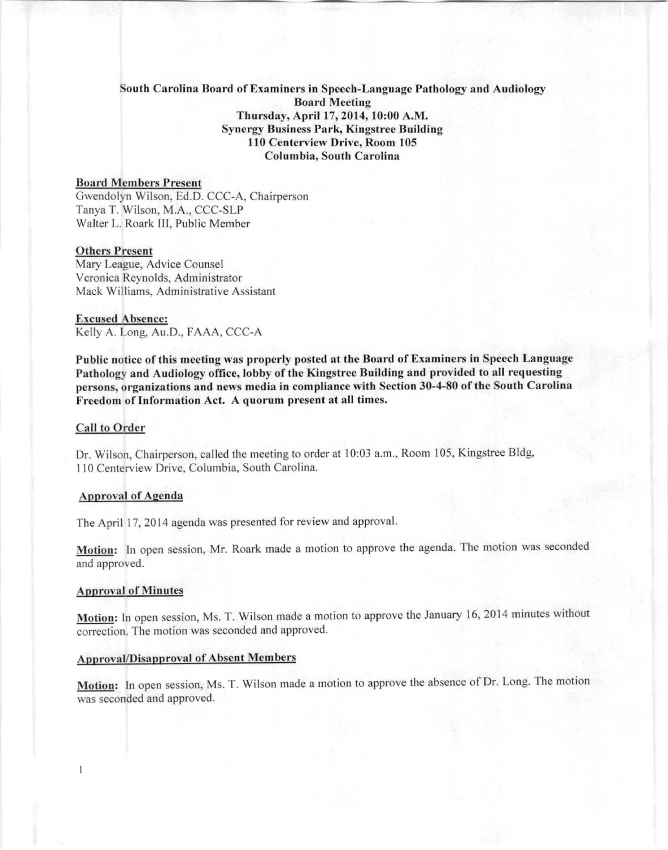# Sooth Carolina Board of Examiners in Speech-Language Pathology and Audiology **Board Meeting** Thursday, April 17,2014,10:00 A.M.  $Synergy Business Park, Kingstree Building$ 110 Centerview Drive, Room 105 Columbia, South Carolina

# Board Members Present

Gwendolyn Wilson, Ed.D. CCC-A. Chairperson Tanya T. Wilson, M.A., CCC-SLP Walter L. Roark III, Public Member

#### Others Present

Mary League, Advice Counsel Veronica Reynolds, Administrator Mack Williams, Administrative Assistant

#### **Excused Ahsence:**

Kelly A. Long, Au.D., FAAA, CCC-A

Public notice of this meeting was properly posted at the Board of Examiners in Speech Language Pathology and Audiology office, lobby of the Kingstree Building and provided to all requesting persons, organizations and news media in compliance with Section 30-4-80 of the South Carolina Freedom of Information Act. A quorum present at all times.

### **Call to Order**

Dr. Wilson, Chairperson, called the meeting to order at 10:03 a.m., Room 105. Kingstree Bldg, 110 Centerview Drive, Columbia, South Carolina.

## **Approval** of **Agenda**

The April 17, 2014 agenda was presented for review and approval.

Motion: In open session, Mr. Roark made a motion to approve the agenda. The motion was seconded and approved.

### Approval of Minutes

 $\overline{1}$ 

Motion: In open session, Ms. T. Wilson made a motion to approve the January 16, 2014 minutes without correction. The motion was seconded and approved.

### Approval/Disapproval of Absent Members

Motion: In open session, Ms. T. Wilson made a motion to approve the absence of Dr. Long. The motion was seconded and approved.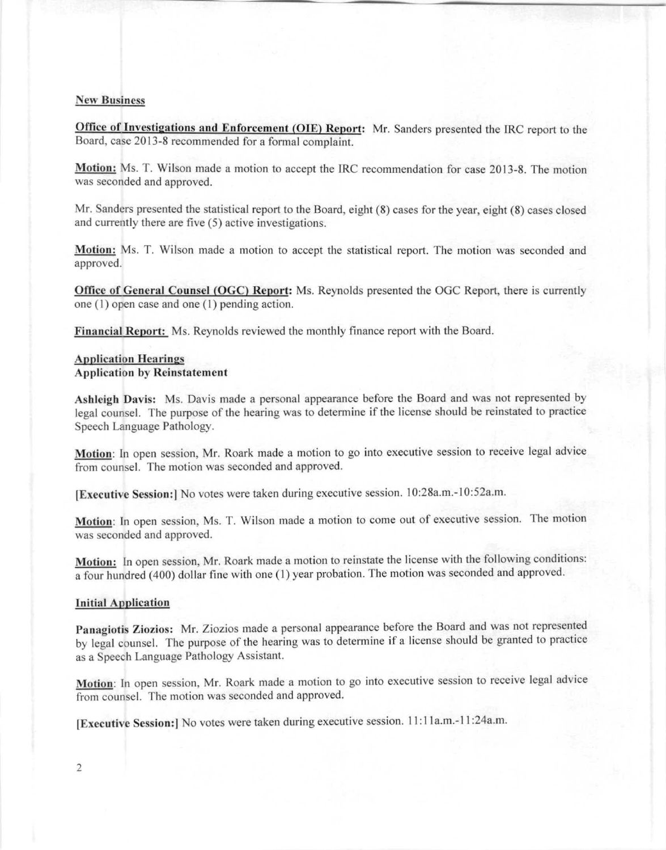# **Ncw Busincss**

Office of Investigations and Enforcement (OIE) Report: Mr. Sanders presented the IRC report to the Board, case 2013-8 recommended for a formal complaint.

Motion: Ms. T. Wilson made a motion to accept the IRC recommendation for case 2013-8. The motion was seconded and approved.

Mr. Sanders presented the statistical report to the Board, eight (8) cases for the year, eight (8) cases closed and currently there are five (5) active investigations.

Motion: Ms. T. Wilson made a motion to accept the statistical report. The motion was seconded and approved.

Office of General Counsel (OGC) Report: Ms. Reynolds presented the OGC Report, there is currently one (I) open case and one (I) pending action.

Financial Report: Ms. Reynolds reviewed the monthly finance report with the Board.

# **Application Hearings** Application hy Reinstatement

Ashleigh Davis: Ms. Davis made a personal appearance before the Board and was not represented by legal counsel. The purpose of the hearing was to determine if the license should be reinstated to practice Speech Language Pathology.

Motion: In open session, Mr. Roark made a motion to go into executive session to receive legal advice from counsel. The motion was seconded and approved.

[Executive Session:] No votes were taken during executive session. 10:28a.m.-10:52a.m.

Motion: In open session, Ms. T. Wilson made a motion to come out of executive session. The motion was seconded and approved.

Motion: In open session, Mr. Roark made a motion to reinstate the license with the following conditions: a four hundred (400) dollar fine with one (I) year probation. The motion was seconded and approved.

### **Initial Application**

Panagiotis Ziozios: Mr. Ziozios made a personal appearance before the Board and was not represented by legal counsel. The purpose of the hearing was to determine if a license should be granted to practice as a Speech Language Pathology Assistant.

Motion: In open session, Mr. Roark made a motion to go into executive session to receive legal advice from counsel. The motion was seconded and approved.

[Executive Session:] No votes were taken during executive session. 11:11a.m.-11:24a.m.